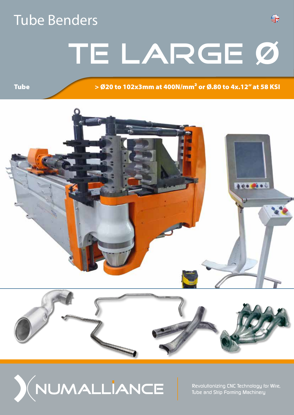## Tube Benders

**Tube** 

# TE LARGE Ø

> Ø20 to 102x3mm at 400N/mm² or Ø.80 to 4x.12" at 58 KSI

읔

 $400 0000$ 





*Revolutionizing CNC Technology for Wire, Tube and Strip Forming Machinery*